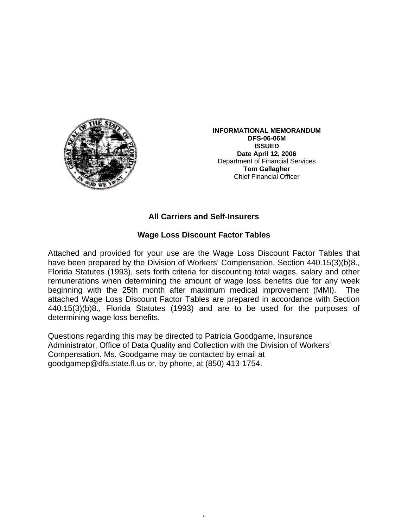

**INFORMATIONAL MEMORANDUM DFS-06-06M ISSUED Date April 12, 2006**  Department of Financial Services **Tom Gallagher** Chief Financial Officer

## **All Carriers and Self-Insurers**

## **Wage Loss Discount Factor Tables**

Attached and provided for your use are the Wage Loss Discount Factor Tables that have been prepared by the Division of Workers' Compensation. Section 440.15(3)(b)8., Florida Statutes (1993), sets forth criteria for discounting total wages, salary and other remunerations when determining the amount of wage loss benefits due for any week beginning with the 25th month after maximum medical improvement (MMI). The attached Wage Loss Discount Factor Tables are prepared in accordance with Section 440.15(3)(b)8., Florida Statutes (1993) and are to be used for the purposes of determining wage loss benefits.

•

Questions regarding this may be directed to Patricia Goodgame, Insurance Administrator, Office of Data Quality and Collection with the Division of Workers' Compensation. Ms. Goodgame may be contacted by email at goodgamep@dfs.state.fl.us or, by phone, at (850) 413-1754.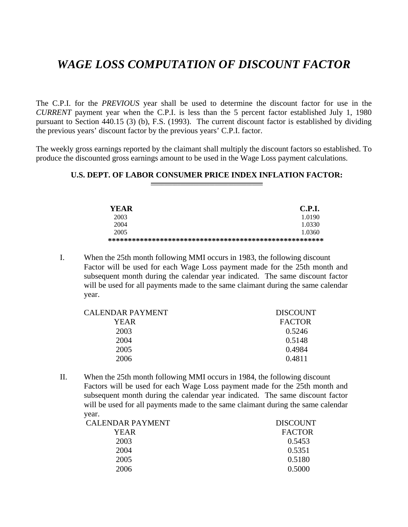## *WAGE LOSS COMPUTATION OF DISCOUNT FACTOR*

The C.P.I. for the *PREVIOUS* year shall be used to determine the discount factor for use in the *CURRENT* payment year when the C.P.I. is less than the 5 percent factor established July 1, 1980 pursuant to Section 440.15 (3) (b), F.S. (1993). The current discount factor is established by dividing the previous years' discount factor by the previous years' C.P.I. factor.

The weekly gross earnings reported by the claimant shall multiply the discount factors so established. To produce the discounted gross earnings amount to be used in the Wage Loss payment calculations.

## **U.S. DEPT. OF LABOR CONSUMER PRICE INDEX INFLATION FACTOR:**

| YEAR | <b>C.P.I.</b> |
|------|---------------|
| 2003 | 1.0190        |
| 2004 | 1.0330        |
| 2005 | 1.0360        |
|      |               |

I. When the 25th month following MMI occurs in 1983, the following discount Factor will be used for each Wage Loss payment made for the 25th month and subsequent month during the calendar year indicated. The same discount factor will be used for all payments made to the same claimant during the same calendar year.

| CALENDAR PAYMENT | <b>DISCOUNT</b> |
|------------------|-----------------|
| YEAR             | <b>FACTOR</b>   |
| 2003             | 0.5246          |
| 2004             | 0.5148          |
| 2005             | 0.4984          |
| 2006             | 0.4811          |
|                  |                 |

II. When the 25th month following MMI occurs in 1984, the following discount Factors will be used for each Wage Loss payment made for the 25th month and subsequent month during the calendar year indicated. The same discount factor will be used for all payments made to the same claimant during the same calendar year.

| <b>CALENDAR PAYMENT</b> | <b>DISCOUNT</b> |
|-------------------------|-----------------|
| YEAR                    | <b>FACTOR</b>   |
| 2003                    | 0.5453          |
| 2004                    | 0.5351          |
| 2005                    | 0.5180          |
| 2006                    | 0.5000          |
|                         |                 |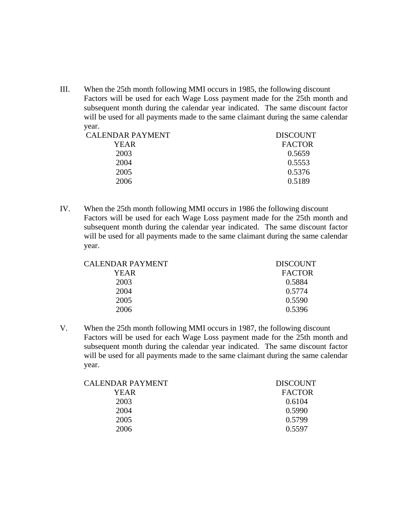III. When the 25th month following MMI occurs in 1985, the following discount Factors will be used for each Wage Loss payment made for the 25th month and subsequent month during the calendar year indicated. The same discount factor will be used for all payments made to the same claimant during the same calendar year.

| CALENDAR PAYMENT | <b>DISCOUNT</b> |
|------------------|-----------------|
| YEAR             | <b>FACTOR</b>   |
| 2003             | 0.5659          |
| 2004             | 0.5553          |
| 2005             | 0.5376          |
| 2006             | 0.5189          |
|                  |                 |

IV. When the 25th month following MMI occurs in 1986 the following discount Factors will be used for each Wage Loss payment made for the 25th month and subsequent month during the calendar year indicated. The same discount factor will be used for all payments made to the same claimant during the same calendar year.

| CALENDAR PAYMENT | <b>DISCOUNT</b> |
|------------------|-----------------|
| YEAR             | <b>FACTOR</b>   |
| 2003             | 0.5884          |
| 2004             | 0.5774          |
| 2005             | 0.5590          |
| 2006             | 0.5396          |

V. When the 25th month following MMI occurs in 1987, the following discount Factors will be used for each Wage Loss payment made for the 25th month and subsequent month during the calendar year indicated. The same discount factor will be used for all payments made to the same claimant during the same calendar year.

| CALENDAR PAYMENT | <b>DISCOUNT</b> |
|------------------|-----------------|
| YEAR             | <b>FACTOR</b>   |
| 2003             | 0.6104          |
| 2004             | 0.5990          |
| 2005             | 0.5799          |
| 2006             | 0.5597          |
|                  |                 |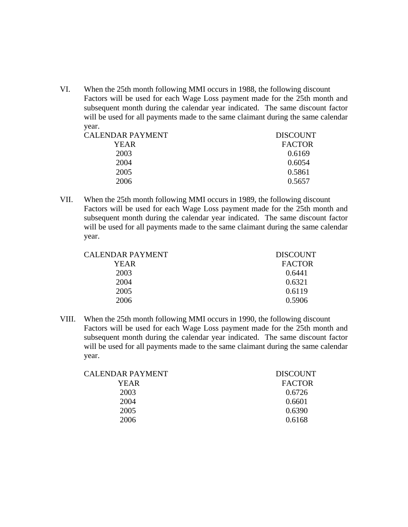VI. When the 25th month following MMI occurs in 1988, the following discount Factors will be used for each Wage Loss payment made for the 25th month and subsequent month during the calendar year indicated. The same discount factor will be used for all payments made to the same claimant during the same calendar year.

| <b>DISCOUNT</b> |
|-----------------|
| <b>FACTOR</b>   |
| 0.6169          |
| 0.6054          |
| 0.5861          |
| 0.5657          |
|                 |

VII. When the 25th month following MMI occurs in 1989, the following discount Factors will be used for each Wage Loss payment made for the 25th month and subsequent month during the calendar year indicated. The same discount factor will be used for all payments made to the same claimant during the same calendar year.

| CALENDAR PAYMENT | <b>DISCOUNT</b> |
|------------------|-----------------|
| YEAR             | <b>FACTOR</b>   |
| 2003             | 0.6441          |
| 2004             | 0.6321          |
| 2005             | 0.6119          |
| 2006             | 0.5906          |

VIII. When the 25th month following MMI occurs in 1990, the following discount Factors will be used for each Wage Loss payment made for the 25th month and subsequent month during the calendar year indicated. The same discount factor will be used for all payments made to the same claimant during the same calendar year.

| CALENDAR PAYMENT | <b>DISCOUNT</b> |
|------------------|-----------------|
| YEAR             | <b>FACTOR</b>   |
| 2003             | 0.6726          |
| 2004             | 0.6601          |
| 2005             | 0.6390          |
| 2006             | 0.6168          |
|                  |                 |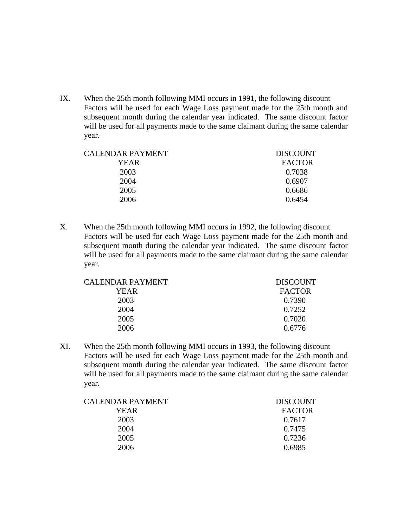IX. When the 25th month following MMI occurs in 1991, the following discount Factors will be used for each Wage Loss payment made for the 25th month and subsequent month during the calendar year indicated. The same discount factor will be used for all payments made to the same claimant during the same calendar year.

| CALENDAR PAYMENT | <b>DISCOUNT</b> |
|------------------|-----------------|
| YEAR             | <b>FACTOR</b>   |
| 2003             | 0.7038          |
| 2004             | 0.6907          |
| 2005             | 0.6686          |
| 2006             | 0.6454          |
|                  |                 |

X. When the 25th month following MMI occurs in 1992, the following discount Factors will be used for each Wage Loss payment made for the 25th month and subsequent month during the calendar year indicated. The same discount factor will be used for all payments made to the same claimant during the same calendar year.

| <b>DISCOUNT</b> |
|-----------------|
| <b>FACTOR</b>   |
| 0.7390          |
| 0.7252          |
| 0.7020          |
| 0.6776          |
|                 |

XI. When the 25th month following MMI occurs in 1993, the following discount Factors will be used for each Wage Loss payment made for the 25th month and subsequent month during the calendar year indicated. The same discount factor will be used for all payments made to the same claimant during the same calendar year.

| CALENDAR PAYMENT | <b>DISCOUNT</b> |
|------------------|-----------------|
| YEAR             | <b>FACTOR</b>   |
| 2003             | 0.7617          |
| 2004             | 0.7475          |
| 2005             | 0.7236          |
| 2006             | 0.6985          |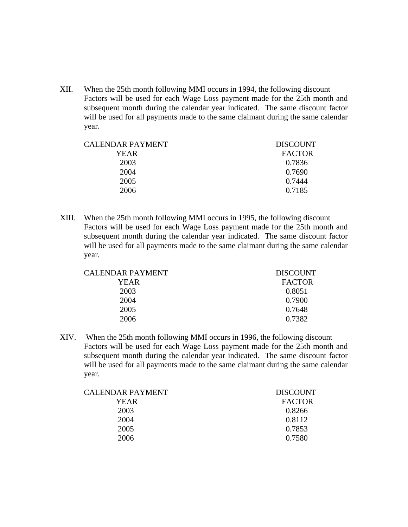XII. When the 25th month following MMI occurs in 1994, the following discount Factors will be used for each Wage Loss payment made for the 25th month and subsequent month during the calendar year indicated. The same discount factor will be used for all payments made to the same claimant during the same calendar year.

| CALENDAR PAYMENT | <b>DISCOUNT</b> |
|------------------|-----------------|
| YEAR             | <b>FACTOR</b>   |
| 2003             | 0.7836          |
| 2004             | 0.7690          |
| 2005             | 0.7444          |
| 2006             | 0.7185          |
|                  |                 |

XIII. When the 25th month following MMI occurs in 1995, the following discount Factors will be used for each Wage Loss payment made for the 25th month and subsequent month during the calendar year indicated. The same discount factor will be used for all payments made to the same claimant during the same calendar year.

| CALENDAR PAYMENT | <b>DISCOUNT</b> |
|------------------|-----------------|
| YEAR             | <b>FACTOR</b>   |
| 2003             | 0.8051          |
| 2004             | 0.7900          |
| 2005             | 0.7648          |
| 2006             | 0.7382          |

XIV. When the 25th month following MMI occurs in 1996, the following discount Factors will be used for each Wage Loss payment made for the 25th month and subsequent month during the calendar year indicated. The same discount factor will be used for all payments made to the same claimant during the same calendar year.

| CALENDAR PAYMENT | <b>DISCOUNT</b> |
|------------------|-----------------|
| YEAR             | <b>FACTOR</b>   |
| 2003             | 0.8266          |
| 2004             | 0.8112          |
| 2005             | 0.7853          |
| 2006             | 0.7580          |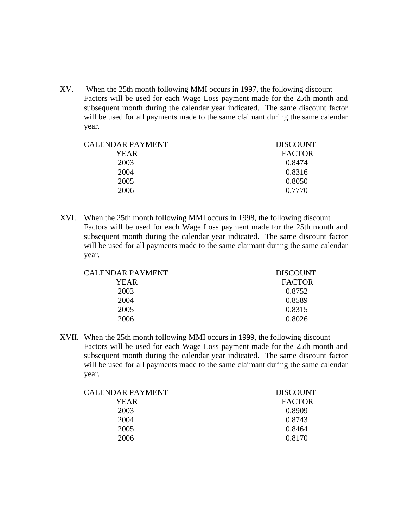XV. When the 25th month following MMI occurs in 1997, the following discount Factors will be used for each Wage Loss payment made for the 25th month and subsequent month during the calendar year indicated. The same discount factor will be used for all payments made to the same claimant during the same calendar year.

| CALENDAR PAYMENT | <b>DISCOUNT</b> |
|------------------|-----------------|
| YEAR             | <b>FACTOR</b>   |
| 2003             | 0.8474          |
| 2004             | 0.8316          |
| 2005             | 0.8050          |
| 2006             | 0.7770          |
|                  |                 |

XVI. When the 25th month following MMI occurs in 1998, the following discount Factors will be used for each Wage Loss payment made for the 25th month and subsequent month during the calendar year indicated. The same discount factor will be used for all payments made to the same claimant during the same calendar year.

| CALENDAR PAYMENT | <b>DISCOUNT</b> |
|------------------|-----------------|
| YEAR             | <b>FACTOR</b>   |
| 2003             | 0.8752          |
| 2004             | 0.8589          |
| 2005             | 0.8315          |
| 2006             | 0.8026          |

XVII. When the 25th month following MMI occurs in 1999, the following discount Factors will be used for each Wage Loss payment made for the 25th month and subsequent month during the calendar year indicated. The same discount factor will be used for all payments made to the same claimant during the same calendar year.

| <b>DISCOUNT</b> |
|-----------------|
| <b>FACTOR</b>   |
| 0.8909          |
| 0.8743          |
| 0.8464          |
| 0.8170          |
|                 |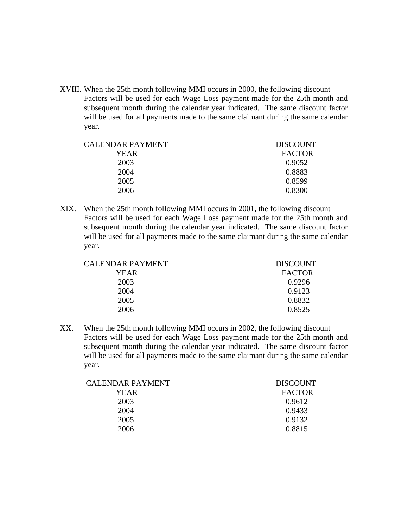XVIII. When the 25th month following MMI occurs in 2000, the following discount Factors will be used for each Wage Loss payment made for the 25th month and subsequent month during the calendar year indicated. The same discount factor will be used for all payments made to the same claimant during the same calendar year.

| <b>DISCOUNT</b> |
|-----------------|
| <b>FACTOR</b>   |
| 0.9052          |
| 0.8883          |
| 0.8599          |
| 0.8300          |
|                 |

XIX. When the 25th month following MMI occurs in 2001, the following discount Factors will be used for each Wage Loss payment made for the 25th month and subsequent month during the calendar year indicated. The same discount factor will be used for all payments made to the same claimant during the same calendar year.

| CALENDAR PAYMENT | <b>DISCOUNT</b> |
|------------------|-----------------|
| YEAR             | <b>FACTOR</b>   |
| 2003             | 0.9296          |
| 2004             | 0.9123          |
| 2005             | 0.8832          |
| 2006             | 0.8525          |

XX. When the 25th month following MMI occurs in 2002, the following discount Factors will be used for each Wage Loss payment made for the 25th month and subsequent month during the calendar year indicated. The same discount factor will be used for all payments made to the same claimant during the same calendar year.

| <b>DISCOUNT</b> |
|-----------------|
| <b>FACTOR</b>   |
| 0.9612          |
| 0.9433          |
| 0.9132          |
| 0.8815          |
|                 |